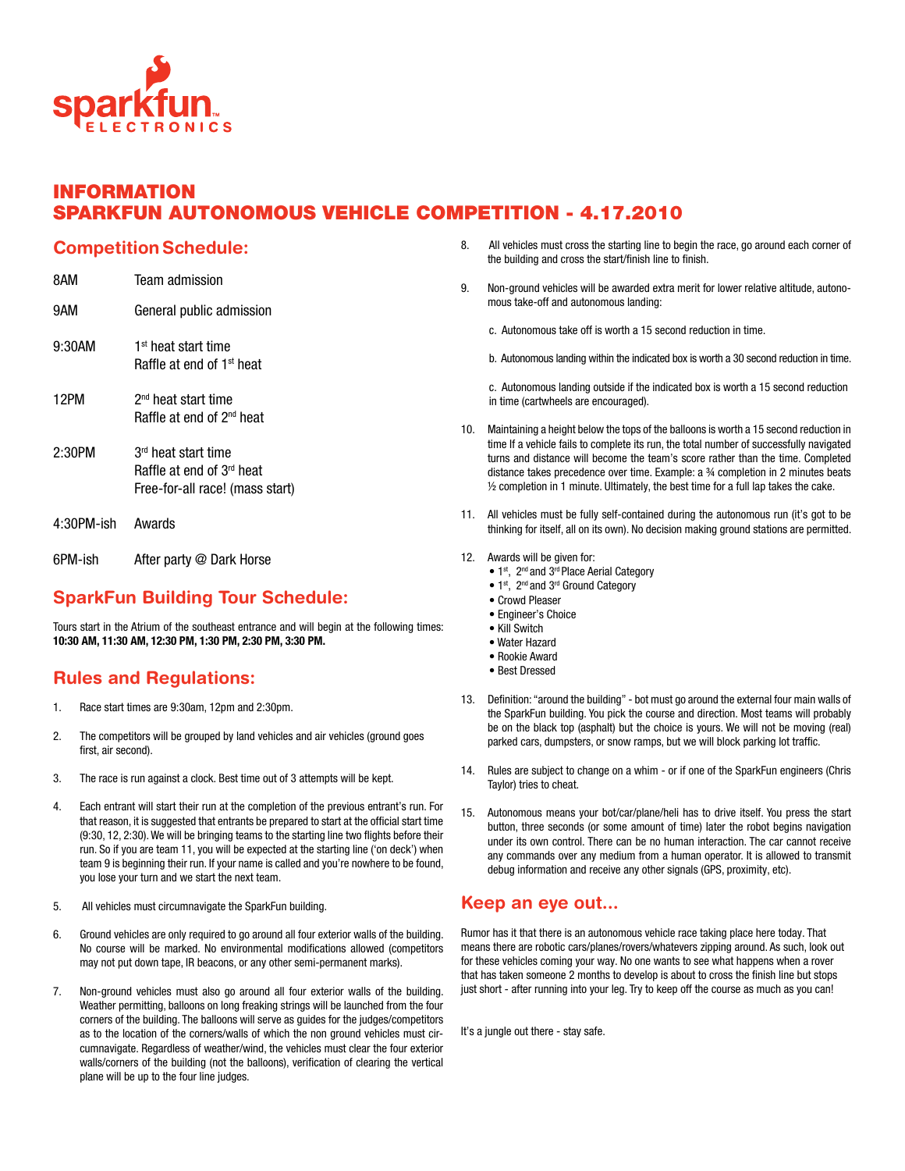

### Information SPARKFUN AUTONOMOUS VEHICLE COMPETITION - 4.17.2010

#### **Competition Schedule:**

| 8AM        | Team admission                                                                                  |
|------------|-------------------------------------------------------------------------------------------------|
| 9AM        | General public admission                                                                        |
| 9:30AM     | 1 <sup>st</sup> heat start time<br>Raffle at end of 1 <sup>st</sup> heat                        |
| 12PM       | 2 <sup>nd</sup> heat start time<br>Raffle at end of 2 <sup>nd</sup> heat                        |
| 2:30PM     | 3 <sup>rd</sup> heat start time<br>Raffle at end of 3rd heat<br>Free-for-all race! (mass start) |
| 4:30PM-ish | Awards                                                                                          |
| 6PM-ish    | After party @ Dark Horse                                                                        |

## SparkFun Building Tour Schedule:

Tours start in the Atrium of the southeast entrance and will begin at the following times: 10:30 AM, 11:30 AM, 12:30 PM, 1:30 PM, 2:30 PM, 3:30 PM.

### Rules and Regulations:

- 1. Race start times are 9:30am, 12pm and 2:30pm.
- 2. The competitors will be grouped by land vehicles and air vehicles (ground goes first, air second).
- 3. The race is run against a clock. Best time out of 3 attempts will be kept.
- 4. Each entrant will start their run at the completion of the previous entrant's run. For that reason, it is suggested that entrants be prepared to start at the official start time (9:30, 12, 2:30). We will be bringing teams to the starting line two flights before their run. So if you are team 11, you will be expected at the starting line ('on deck') when team 9 is beginning their run. If your name is called and you're nowhere to be found, you lose your turn and we start the next team.
- 5. All vehicles must circumnavigate the SparkFun building.
- 6. Ground vehicles are only required to go around all four exterior walls of the building. No course will be marked. No environmental modifications allowed (competitors may not put down tape, IR beacons, or any other semi-permanent marks).
- 7. Non-ground vehicles must also go around all four exterior walls of the building. Weather permitting, balloons on long freaking strings will be launched from the four corners of the building. The balloons will serve as guides for the judges/competitors as to the location of the corners/walls of which the non ground vehicles must circumnavigate. Regardless of weather/wind, the vehicles must clear the four exterior walls/corners of the building (not the balloons), verification of clearing the vertical plane will be up to the four line judges.
- 8. All vehicles must cross the starting line to begin the race, go around each corner of the building and cross the start/finish line to finish.
- 9. Non-ground vehicles will be awarded extra merit for lower relative altitude, autonomous take-off and autonomous landing:

c. Autonomous take off is worth a 15 second reduction in time.

b. Autonomous landing within the indicated box is worth a 30 second reduction in time.

c. Autonomous landing outside if the indicated box is worth a 15 second reduction in time (cartwheels are encouraged).

- 10. Maintaining a height below the tops of the balloons is worth a 15 second reduction in time If a vehicle fails to complete its run, the total number of successfully navigated turns and distance will become the team's score rather than the time. Completed distance takes precedence over time. Example: a ¾ completion in 2 minutes beats ½ completion in 1 minute. Ultimately, the best time for a full lap takes the cake.
- 11. All vehicles must be fully self-contained during the autonomous run (it's got to be thinking for itself, all on its own). No decision making ground stations are permitted.
- 12. Awards will be given for:
	- 1<sup>st</sup>, 2<sup>nd</sup> and 3<sup>rd</sup> Place Aerial Category
	- 1st, 2<sup>nd</sup> and 3<sup>rd</sup> Ground Category
	- Crowd Pleaser
	- Engineer's Choice
	- Kill Switch
	- Water Hazard
	- Rookie Award • Best Dressed
	-
- 13. Definition: "around the building" bot must go around the external four main walls of the SparkFun building. You pick the course and direction. Most teams will probably be on the black top (asphalt) but the choice is yours. We will not be moving (real) parked cars, dumpsters, or snow ramps, but we will block parking lot traffic.
- 14. Rules are subject to change on a whim or if one of the SparkFun engineers (Chris Taylor) tries to cheat.
- 15. Autonomous means your bot/car/plane/heli has to drive itself. You press the start button, three seconds (or some amount of time) later the robot begins navigation under its own control. There can be no human interaction. The car cannot receive any commands over any medium from a human operator. It is allowed to transmit debug information and receive any other signals (GPS, proximity, etc).

#### Keep an eye out...

Rumor has it that there is an autonomous vehicle race taking place here today. That means there are robotic cars/planes/rovers/whatevers zipping around. As such, look out for these vehicles coming your way. No one wants to see what happens when a rover that has taken someone 2 months to develop is about to cross the finish line but stops just short - after running into your leg. Try to keep off the course as much as you can!

It's a jungle out there - stay safe.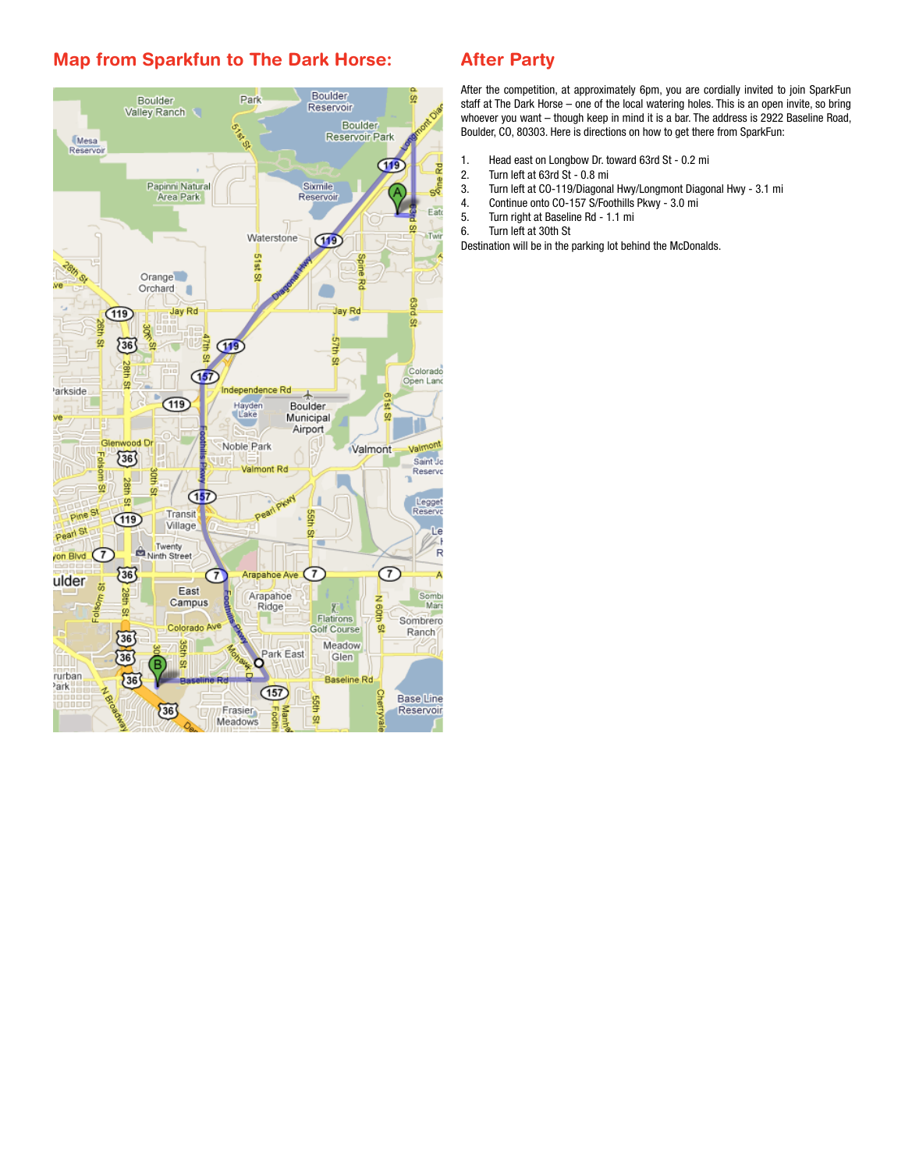### Map from Sparkfun to The Dark Horse:



### After Party

After the competition, at approximately 6pm, you are cordially invited to join SparkFun staff at The Dark Horse – one of the local watering holes. This is an open invite, so bring whoever you want – though keep in mind it is a bar. The address is 2922 Baseline Road, Boulder, CO, 80303. Here is directions on how to get there from SparkFun:

- 1. Head east on Longbow Dr. toward 63rd St 0.2 mi
- 2. Turn left at 63rd St 0.8 mi<br>3. Turn left at CO-119/Diagona
- 3. Turn left at CO-119/Diagonal Hwy/Longmont Diagonal Hwy 3.1 mi
- 4. Continue onto CO-157 S/Foothills Pkwy 3.0 mi
- 5. Turn right at Baseline Rd 1.1 mi
- 6. Turn left at 30th St

Destination will be in the parking lot behind the McDonalds.